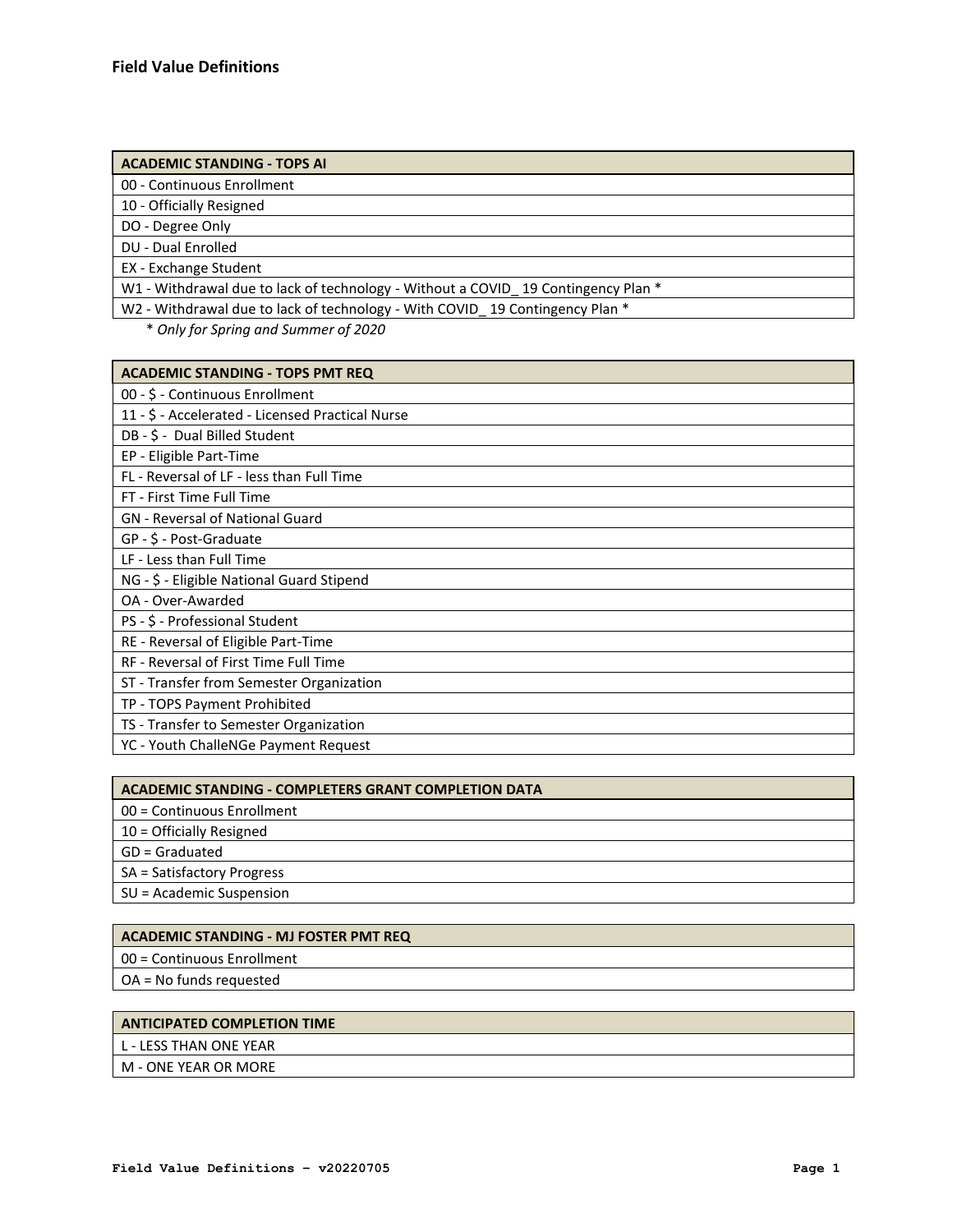### **ACADEMIC STANDING - TOPS AI**

00 - Continuous Enrollment

10 - Officially Resigned

DO - Degree Only

DU - Dual Enrolled

EX - Exchange Student

W1 - Withdrawal due to lack of technology - Without a COVID\_19 Contingency Plan \*

W2 - Withdrawal due to lack of technology - With COVID\_19 Contingency Plan \*

\* *Only for Spring and Summer of 2020*

| <b>ACADEMIC STANDING - TOPS PMT REQ</b>          |
|--------------------------------------------------|
| 00 - \$ - Continuous Enrollment                  |
| 11 - \$ - Accelerated - Licensed Practical Nurse |
| DB - \$ - Dual Billed Student                    |
| EP - Eligible Part-Time                          |
| FL - Reversal of LF - less than Full Time        |
| FT - First Time Full Time                        |
| <b>GN</b> - Reversal of National Guard           |
| GP - \$ - Post-Graduate                          |
| LF - Less than Full Time                         |
| NG - \$ - Eligible National Guard Stipend        |
| OA - Over-Awarded                                |
| PS - \$ - Professional Student                   |
| RE - Reversal of Eligible Part-Time              |
| RF - Reversal of First Time Full Time            |
| ST - Transfer from Semester Organization         |
| TP - TOPS Payment Prohibited                     |
| TS - Transfer to Semester Organization           |
| YC - Youth ChalleNGe Payment Request             |

| <b>ACADEMIC STANDING - COMPLETERS GRANT COMPLETION DATA</b> |
|-------------------------------------------------------------|
| 00 = Continuous Enrollment                                  |
| 10 = Officially Resigned                                    |
| GD = Graduated                                              |
| SA = Satisfactory Progress                                  |
| SU = Academic Suspension                                    |

### **ACADEMIC STANDING - MJ FOSTER PMT REQ**

00 = Continuous Enrollment

OA = No funds requested

### **ANTICIPATED COMPLETION TIME**

L - LESS THAN ONE YEAR

M - ONE YEAR OR MORE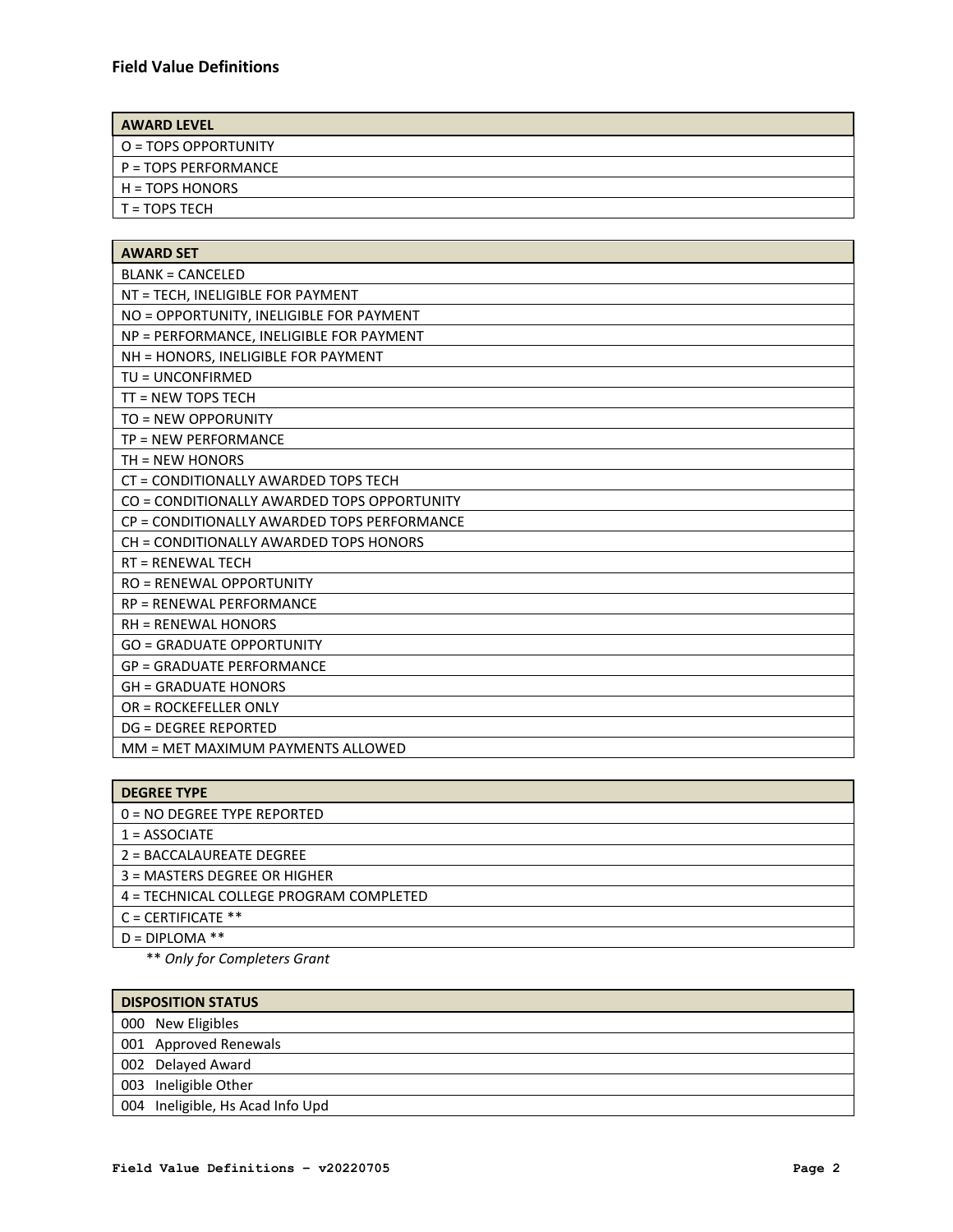| <b>AWARD LEVEL</b>                |
|-----------------------------------|
| $\overline{0}$ = TOPS OPPORTUNITY |
| $P = TOPS PERFORMANCE$            |
| $H = TOPS HONORS$                 |
| $I = TOPS TECH$                   |

| <b>AWARD SET</b>                            |
|---------------------------------------------|
| <b>BLANK = CANCELED</b>                     |
| NT = TECH, INELIGIBLE FOR PAYMENT           |
| NO = OPPORTUNITY, INELIGIBLE FOR PAYMENT    |
| NP = PERFORMANCE, INELIGIBLE FOR PAYMENT    |
| NH = HONORS, INELIGIBLE FOR PAYMENT         |
| TU = UNCONFIRMED                            |
| TT = NEW TOPS TECH                          |
| TO = NEW OPPORUNITY                         |
| TP = NEW PERFORMANCE                        |
| $TH = NEW HONORS$                           |
| CT = CONDITIONALLY AWARDED TOPS TECH        |
| CO = CONDITIONALLY AWARDED TOPS OPPORTUNITY |
| CP = CONDITIONALLY AWARDED TOPS PERFORMANCE |
| CH = CONDITIONALLY AWARDED TOPS HONORS      |
| <b>RT = RENEWAL TECH</b>                    |
| <b>RO = RENEWAL OPPORTUNITY</b>             |
| <b>RP = RENEWAL PERFORMANCE</b>             |
| <b>RH = RENEWAL HONORS</b>                  |
| <b>GO = GRADUATE OPPORTUNITY</b>            |
| <b>GP = GRADUATE PERFORMANCE</b>            |
| <b>GH = GRADUATE HONORS</b>                 |
| <b>OR = ROCKEFELLER ONLY</b>                |
| <b>DG = DEGREE REPORTED</b>                 |
| MM = MET MAXIMUM PAYMENTS ALLOWED           |

\*\* *Only for Completers Grant*

| <b>DISPOSITION STATUS</b>        |  |  |
|----------------------------------|--|--|
| 000 New Eligibles                |  |  |
| 001 Approved Renewals            |  |  |
| 002 Delayed Award                |  |  |
| 003 Ineligible Other             |  |  |
| 004 Ineligible, Hs Acad Info Upd |  |  |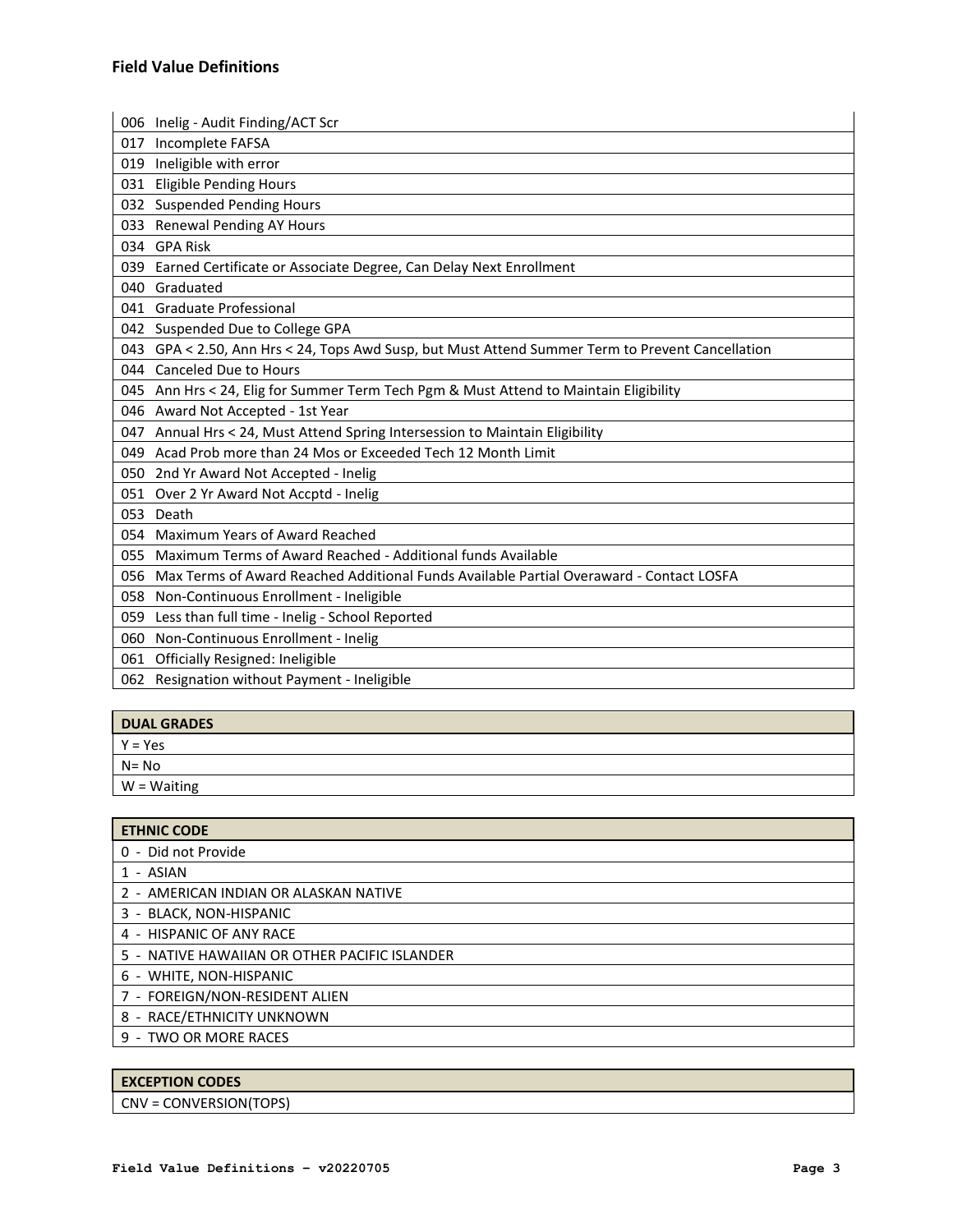|     | 006 Inelig - Audit Finding/ACT Scr                                                               |
|-----|--------------------------------------------------------------------------------------------------|
| 017 | Incomplete FAFSA                                                                                 |
| 019 | Ineligible with error                                                                            |
| 031 | <b>Eligible Pending Hours</b>                                                                    |
|     | 032 Suspended Pending Hours                                                                      |
| 033 | <b>Renewal Pending AY Hours</b>                                                                  |
|     | 034 GPA Risk                                                                                     |
|     | 039 Earned Certificate or Associate Degree, Can Delay Next Enrollment                            |
| 040 | Graduated                                                                                        |
|     | 041 Graduate Professional                                                                        |
|     | 042 Suspended Due to College GPA                                                                 |
|     | 043 GPA < 2.50, Ann Hrs < 24, Tops Awd Susp, but Must Attend Summer Term to Prevent Cancellation |
|     | 044 Canceled Due to Hours                                                                        |
|     | 045 Ann Hrs < 24, Elig for Summer Term Tech Pgm & Must Attend to Maintain Eligibility            |
|     | 046 Award Not Accepted - 1st Year                                                                |
| 047 | Annual Hrs < 24, Must Attend Spring Intersession to Maintain Eligibility                         |
| 049 | Acad Prob more than 24 Mos or Exceeded Tech 12 Month Limit                                       |
|     | 050 2nd Yr Award Not Accepted - Inelig                                                           |
|     | 051 Over 2 Yr Award Not Accptd - Inelig                                                          |
| 053 | Death                                                                                            |
| 054 | Maximum Years of Award Reached                                                                   |
| 055 | Maximum Terms of Award Reached - Additional funds Available                                      |
| 056 | Max Terms of Award Reached Additional Funds Available Partial Overaward - Contact LOSFA          |
| 058 | Non-Continuous Enrollment - Ineligible                                                           |
| 059 | Less than full time - Inelig - School Reported                                                   |
| 060 | Non-Continuous Enrollment - Inelig                                                               |
|     | 061 Officially Resigned: Ineligible                                                              |
| 062 | Resignation without Payment - Ineligible                                                         |
|     |                                                                                                  |

| <b>DUAL GRADES</b> |
|--------------------|
| $Y = Yes$          |
| $N = No$           |
| W = Waiting        |
|                    |

| <b>ETHNIC CODE</b>                            |
|-----------------------------------------------|
| 0 - Did not Provide                           |
| 1 - ASIAN                                     |
| 2 - AMERICAN INDIAN OR ALASKAN NATIVE         |
| 3 - BLACK, NON-HISPANIC                       |
| 4 - HISPANIC OF ANY RACE                      |
| 5 - NATIVE HAWAIIAN OR OTHER PACIFIC ISLANDER |
| 6 - WHITE, NON-HISPANIC                       |
| 7 - FOREIGN/NON-RESIDENT ALIEN                |
| 8 - RACE/ETHNICITY UNKNOWN                    |
| 9 - TWO OR MORE RACES                         |
|                                               |

# **EXCEPTION CODES**

CNV = CONVERSION(TOPS)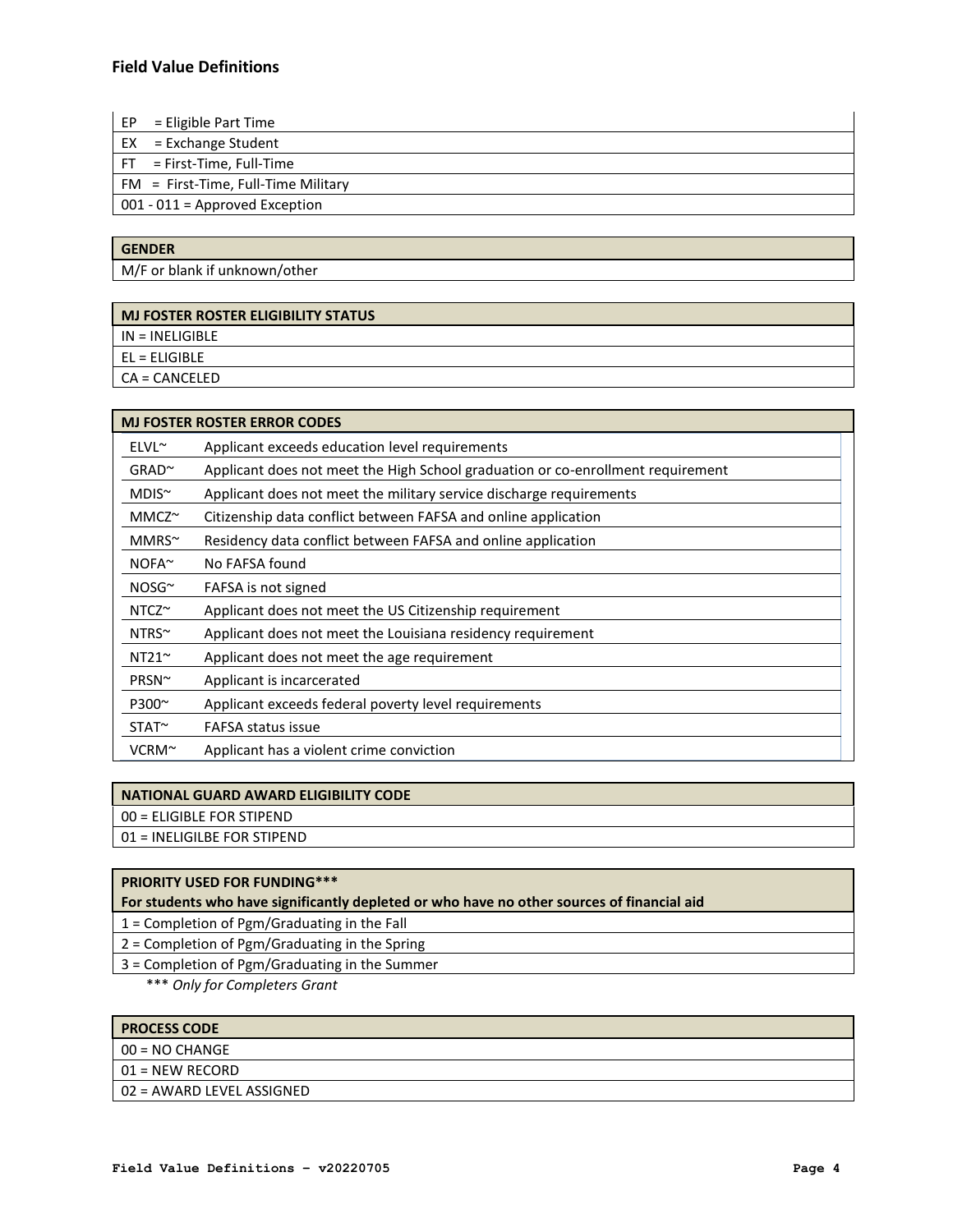EP = Eligible Part Time

EX = Exchange Student

FT = First-Time, Full-Time

FM = First-Time, Full-Time Military

001 - 011 = Approved Exception

# **GENDER**

M/F or blank if unknown/other

# **MJ FOSTER ROSTER ELIGIBILITY STATUS**

IN = INELIGIBLE

EL = ELIGIBLE

CA = CANCELED

|                   | <b>MJ FOSTER ROSTER ERROR CODES</b>                                             |
|-------------------|---------------------------------------------------------------------------------|
| $ELVL^{\sim}$     | Applicant exceeds education level requirements                                  |
| $GRAD^{\sim}$     | Applicant does not meet the High School graduation or co-enrollment requirement |
| $MDIS^{\sim}$     | Applicant does not meet the military service discharge requirements             |
| $MMCZ^{\sim}$     | Citizenship data conflict between FAFSA and online application                  |
| $MMRS^{\sim}$     | Residency data conflict between FAFSA and online application                    |
| NOFA <sup>~</sup> | No FAFSA found                                                                  |
| $NOSG^{\sim}$     | FAFSA is not signed                                                             |
| $NTCZ^{\sim}$     | Applicant does not meet the US Citizenship requirement                          |
| $NTRS^{\sim}$     | Applicant does not meet the Louisiana residency requirement                     |
| $NT21^{\sim}$     | Applicant does not meet the age requirement                                     |
| PRSN~             | Applicant is incarcerated                                                       |
| P300~             | Applicant exceeds federal poverty level requirements                            |
| $STAT^{\sim}$     | <b>FAFSA status issue</b>                                                       |
| $VCRM^{\sim}$     | Applicant has a violent crime conviction                                        |

### **NATIONAL GUARD AWARD ELIGIBILITY CODE**

00 = ELIGIBLE FOR STIPEND

01 = INELIGILBE FOR STIPEND

# **PRIORITY USED FOR FUNDING\*\*\***

**For students who have significantly depleted or who have no other sources of financial aid**

1 = Completion of Pgm/Graduating in the Fall

2 = Completion of Pgm/Graduating in the Spring

3 = Completion of Pgm/Graduating in the Summer

\*\*\* *Only for Completers Grant* 

|  | <b>PROCESS CODE</b> |  |
|--|---------------------|--|
|  |                     |  |

- 00 = NO CHANGE
- 01 = NEW RECORD
- 02 = AWARD LEVEL ASSIGNED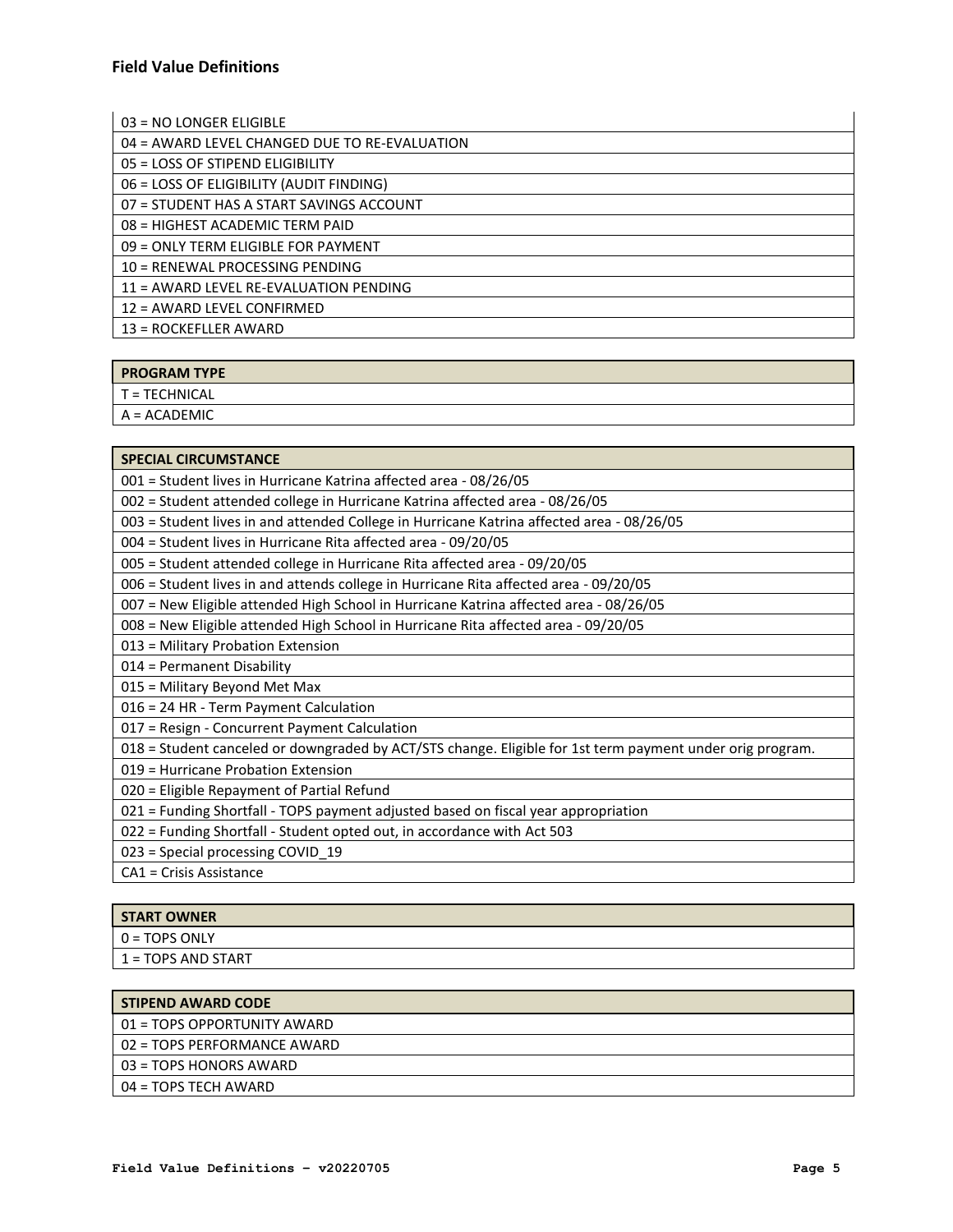03 = NO LONGER ELIGIBLE

04 = AWARD LEVEL CHANGED DUE TO RE-EVALUATION

05 = LOSS OF STIPEND ELIGIBILITY

06 = LOSS OF ELIGIBILITY (AUDIT FINDING)

07 = STUDENT HAS A START SAVINGS ACCOUNT

08 = HIGHEST ACADEMIC TERM PAID

09 = ONLY TERM ELIGIBLE FOR PAYMENT

10 = RENEWAL PROCESSING PENDING

11 = AWARD LEVEL RE-EVALUATION PENDING

12 = AWARD LEVEL CONFIRMED

13 = ROCKEFLLER AWARD

### **PROGRAM TYPE**

T = TECHNICAL

A = ACADEMIC

#### **SPECIAL CIRCUMSTANCE**

001 = Student lives in Hurricane Katrina affected area - 08/26/05

002 = Student attended college in Hurricane Katrina affected area - 08/26/05

003 = Student lives in and attended College in Hurricane Katrina affected area - 08/26/05

004 = Student lives in Hurricane Rita affected area - 09/20/05

005 = Student attended college in Hurricane Rita affected area - 09/20/05

006 = Student lives in and attends college in Hurricane Rita affected area - 09/20/05

007 = New Eligible attended High School in Hurricane Katrina affected area - 08/26/05

008 = New Eligible attended High School in Hurricane Rita affected area - 09/20/05

013 = Military Probation Extension

014 = Permanent Disability

015 = Military Beyond Met Max

016 = 24 HR - Term Payment Calculation

017 = Resign - Concurrent Payment Calculation

018 = Student canceled or downgraded by ACT/STS change. Eligible for 1st term payment under orig program.

019 = Hurricane Probation Extension

020 = Eligible Repayment of Partial Refund

021 = Funding Shortfall - TOPS payment adjusted based on fiscal year appropriation

022 = Funding Shortfall - Student opted out, in accordance with Act 503

023 = Special processing COVID\_19

CA1 = Crisis Assistance

### **START OWNER**

0 = TOPS ONLY

1 = TOPS AND START

| <b>STIPEND AWARD CODE</b>   |
|-----------------------------|
| 01 = TOPS OPPORTUNITY AWARD |
| 02 = TOPS PERFORMANCE AWARD |
| 03 = TOPS HONORS AWARD      |
| 04 = TOPS TECH AWARD        |